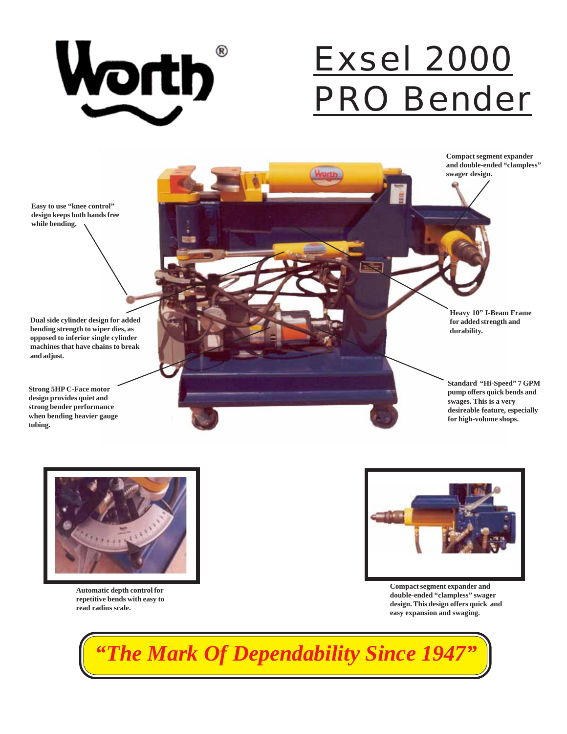

# Exsel 2000 PRO Bender

**Compact segment expander and double-ended "clampless" swager design.**

**Easy to use "knee control" design keeps both hands free while bending.**

**Dual side cylinder design for added bending strength to wiper dies, as opposed to inferior single cylinder machines that have chains to break and adjust.**

**Strong 5HP C-Face motor design provides quiet and strong bender performance when bending heavier gauge tubing.**





**Automatic depth control for repetitive bends with easy to read radius scale.**



**Compact segment expander and double-ended "clampless" swager design. This design offers quick and easy expansion and swaging.**

*"The Mark Of Dependability Since 1947"*